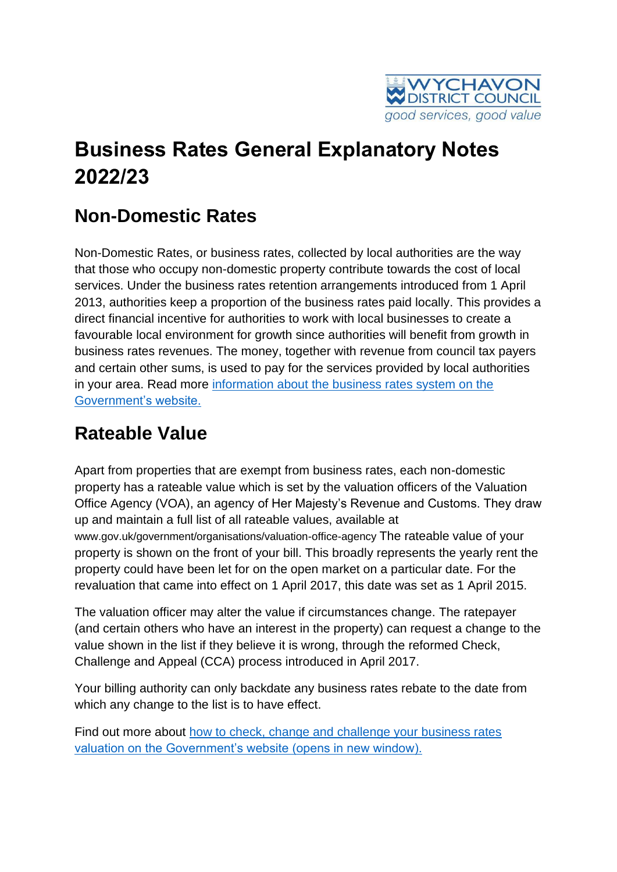

# **Business Rates General Explanatory Notes 2022/23**

### **Non-Domestic Rates**

Non-Domestic Rates, or business rates, collected by local authorities are the way that those who occupy non-domestic property contribute towards the cost of local services. Under the business rates retention arrangements introduced from 1 April 2013, authorities keep a proportion of the business rates paid locally. This provides a direct financial incentive for authorities to work with local businesses to create a favourable local environment for growth since authorities will benefit from growth in business rates revenues. The money, together with revenue from council tax payers and certain other sums, is used to pay for the services provided by local authorities in your area. Read more [information about the business rates system on the](https://www.gov.uk/introduction-to-business-rates)  [Government's website.](https://www.gov.uk/introduction-to-business-rates)

#### **Rateable Value**

Apart from properties that are exempt from business rates, each non-domestic property has a rateable value which is set by the valuation officers of the Valuation Office Agency (VOA), an agency of Her Majesty's Revenue and Customs. They draw up and maintain a full list of all rateable values, available at www.gov.uk/government/organisations/valuation-office-agency The rateable value of your property is shown on the front of your bill. This broadly represents the yearly rent the property could have been let for on the open market on a particular date. For the revaluation that came into effect on 1 April 2017, this date was set as 1 April 2015.

The valuation officer may alter the value if circumstances change. The ratepayer (and certain others who have an interest in the property) can request a change to the value shown in the list if they believe it is wrong, through the reformed Check, Challenge and Appeal (CCA) process introduced in April 2017.

Your billing authority can only backdate any business rates rebate to the date from which any change to the list is to have effect.

Find out more about [how to check, change and challenge your business rates](https://www.gov.uk/government/collections/check-and-challenge-step-by-step)  [valuation on the Government's website \(opens in new window\).](https://www.gov.uk/government/collections/check-and-challenge-step-by-step)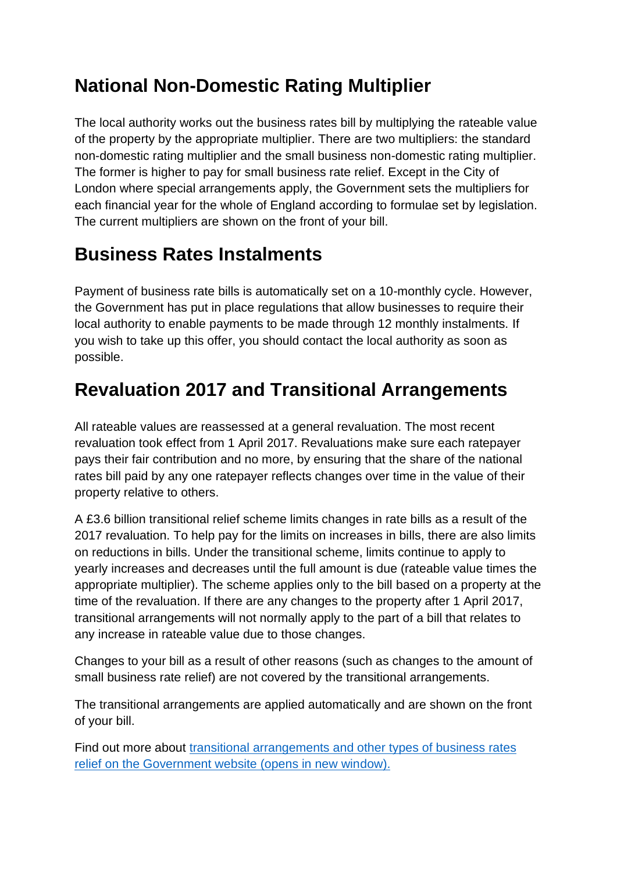### **National Non-Domestic Rating Multiplier**

The local authority works out the business rates bill by multiplying the rateable value of the property by the appropriate multiplier. There are two multipliers: the standard non-domestic rating multiplier and the small business non-domestic rating multiplier. The former is higher to pay for small business rate relief. Except in the City of London where special arrangements apply, the Government sets the multipliers for each financial year for the whole of England according to formulae set by legislation. The current multipliers are shown on the front of your bill.

### **Business Rates Instalments**

Payment of business rate bills is automatically set on a 10-monthly cycle. However, the Government has put in place regulations that allow businesses to require their local authority to enable payments to be made through 12 monthly instalments. If you wish to take up this offer, you should contact the local authority as soon as possible.

#### **Revaluation 2017 and Transitional Arrangements**

All rateable values are reassessed at a general revaluation. The most recent revaluation took effect from 1 April 2017. Revaluations make sure each ratepayer pays their fair contribution and no more, by ensuring that the share of the national rates bill paid by any one ratepayer reflects changes over time in the value of their property relative to others.

A £3.6 billion transitional relief scheme limits changes in rate bills as a result of the 2017 revaluation. To help pay for the limits on increases in bills, there are also limits on reductions in bills. Under the transitional scheme, limits continue to apply to yearly increases and decreases until the full amount is due (rateable value times the appropriate multiplier). The scheme applies only to the bill based on a property at the time of the revaluation. If there are any changes to the property after 1 April 2017, transitional arrangements will not normally apply to the part of a bill that relates to any increase in rateable value due to those changes.

Changes to your bill as a result of other reasons (such as changes to the amount of small business rate relief) are not covered by the transitional arrangements.

The transitional arrangements are applied automatically and are shown on the front of your bill.

Find out more about [transitional arrangements and other types of business rates](https://www.gov.uk/apply-for-business-rate-relief)  [relief on the Government website \(opens in new window\).](https://www.gov.uk/apply-for-business-rate-relief)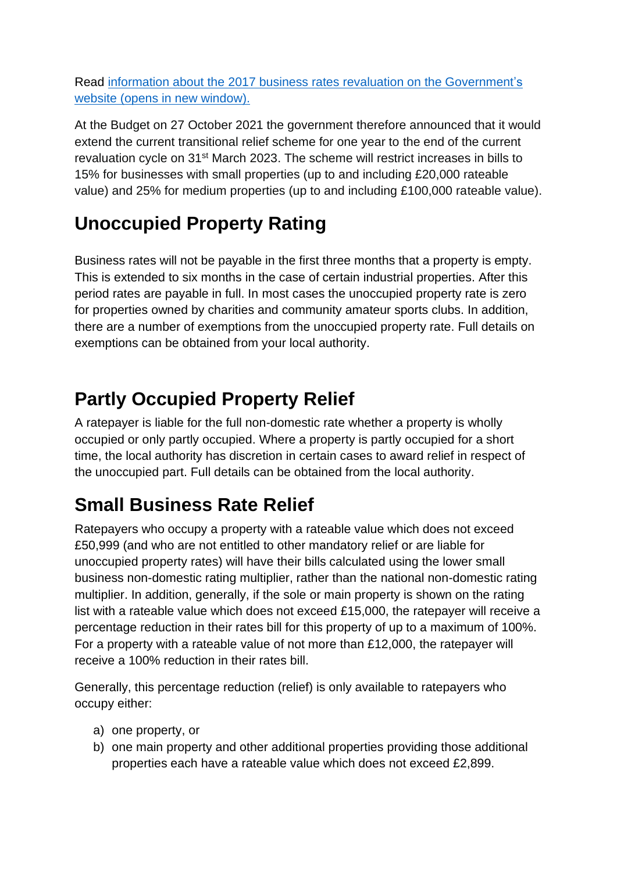Read information about the [2017 business rates revaluation on the Government's](http://www.gov.uk/introduction-to-business-rates/revaluation)  website [\(opens in new window\).](http://www.gov.uk/introduction-to-business-rates/revaluation)

At the Budget on 27 October 2021 the government therefore announced that it would extend the current transitional relief scheme for one year to the end of the current revaluation cycle on 31st March 2023. The scheme will restrict increases in bills to 15% for businesses with small properties (up to and including £20,000 rateable value) and 25% for medium properties (up to and including £100,000 rateable value).

### **Unoccupied Property Rating**

Business rates will not be payable in the first three months that a property is empty. This is extended to six months in the case of certain industrial properties. After this period rates are payable in full. In most cases the unoccupied property rate is zero for properties owned by charities and community amateur sports clubs. In addition, there are a number of exemptions from the unoccupied property rate. Full details on exemptions can be obtained from your local authority.

### **Partly Occupied Property Relief**

A ratepayer is liable for the full non-domestic rate whether a property is wholly occupied or only partly occupied. Where a property is partly occupied for a short time, the local authority has discretion in certain cases to award relief in respect of the unoccupied part. Full details can be obtained from the local authority.

## **Small Business Rate Relief**

Ratepayers who occupy a property with a rateable value which does not exceed £50,999 (and who are not entitled to other mandatory relief or are liable for unoccupied property rates) will have their bills calculated using the lower small business non-domestic rating multiplier, rather than the national non-domestic rating multiplier. In addition, generally, if the sole or main property is shown on the rating list with a rateable value which does not exceed £15,000, the ratepayer will receive a percentage reduction in their rates bill for this property of up to a maximum of 100%. For a property with a rateable value of not more than £12,000, the ratepayer will receive a 100% reduction in their rates bill.

Generally, this percentage reduction (relief) is only available to ratepayers who occupy either:

- a) one property, or
- b) one main property and other additional properties providing those additional properties each have a rateable value which does not exceed £2,899.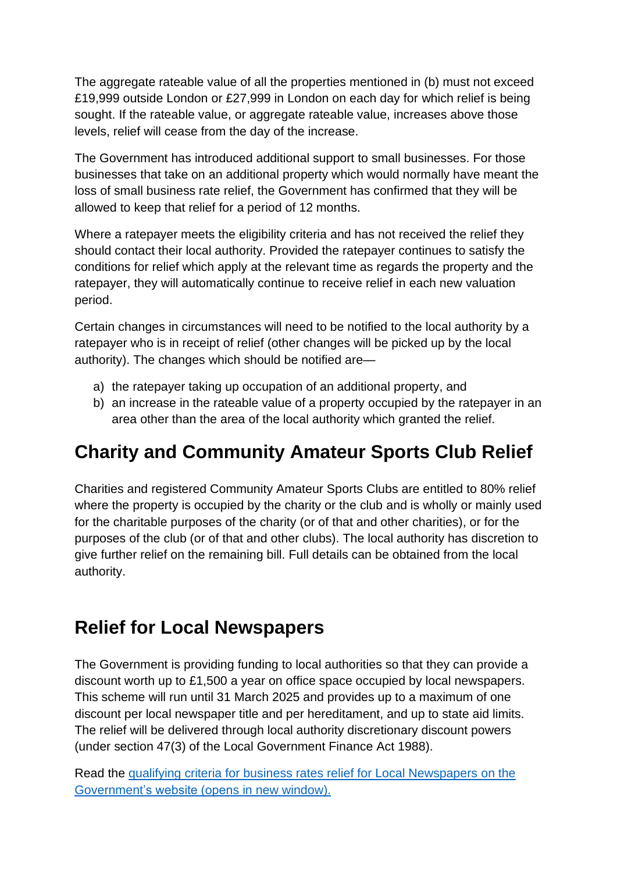The aggregate rateable value of all the properties mentioned in (b) must not exceed £19,999 outside London or £27,999 in London on each day for which relief is being sought. If the rateable value, or aggregate rateable value, increases above those levels, relief will cease from the day of the increase.

The Government has introduced additional support to small businesses. For those businesses that take on an additional property which would normally have meant the loss of small business rate relief, the Government has confirmed that they will be allowed to keep that relief for a period of 12 months.

Where a ratepayer meets the eligibility criteria and has not received the relief they should contact their local authority. Provided the ratepayer continues to satisfy the conditions for relief which apply at the relevant time as regards the property and the ratepayer, they will automatically continue to receive relief in each new valuation period.

Certain changes in circumstances will need to be notified to the local authority by a ratepayer who is in receipt of relief (other changes will be picked up by the local authority). The changes which should be notified are—

- a) the ratepayer taking up occupation of an additional property, and
- b) an increase in the rateable value of a property occupied by the ratepayer in an area other than the area of the local authority which granted the relief.

### **Charity and Community Amateur Sports Club Relief**

Charities and registered Community Amateur Sports Clubs are entitled to 80% relief where the property is occupied by the charity or the club and is wholly or mainly used for the charitable purposes of the charity (or of that and other charities), or for the purposes of the club (or of that and other clubs). The local authority has discretion to give further relief on the remaining bill. Full details can be obtained from the local authority.

#### **Relief for Local Newspapers**

The Government is providing funding to local authorities so that they can provide a discount worth up to £1,500 a year on office space occupied by local newspapers. This scheme will run until 31 March 2025 and provides up to a maximum of one discount per local newspaper title and per hereditament, and up to state aid limits. The relief will be delivered through local authority discretionary discount powers (under section 47(3) of the Local Government Finance Act 1988).

Read the qualifying criteria [for business rates relief for Local Newspapers on the](http://www.gov.uk/government/consultations/the-case-for-a-business-rates-relief-for-local-newspapers.)  [Government's website \(opens in new window\).](http://www.gov.uk/government/consultations/the-case-for-a-business-rates-relief-for-local-newspapers.)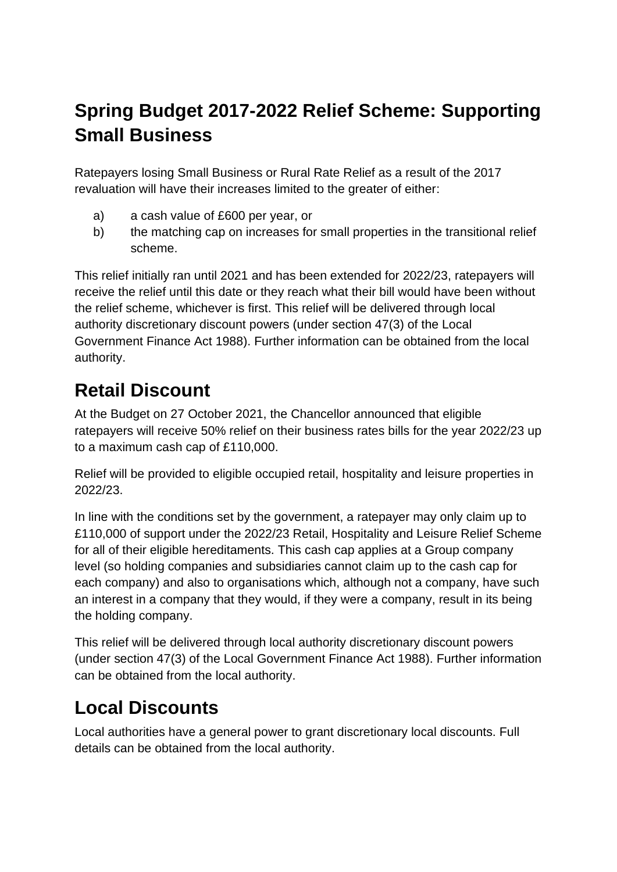## **Spring Budget 2017-2022 Relief Scheme: Supporting Small Business**

Ratepayers losing Small Business or Rural Rate Relief as a result of the 2017 revaluation will have their increases limited to the greater of either:

- a) a cash value of £600 per year, or
- b) the matching cap on increases for small properties in the transitional relief scheme.

This relief initially ran until 2021 and has been extended for 2022/23, ratepayers will receive the relief until this date or they reach what their bill would have been without the relief scheme, whichever is first. This relief will be delivered through local authority discretionary discount powers (under section 47(3) of the Local Government Finance Act 1988). Further information can be obtained from the local authority.

### **Retail Discount**

At the Budget on 27 October 2021, the Chancellor announced that eligible ratepayers will receive 50% relief on their business rates bills for the year 2022/23 up to a maximum cash cap of £110,000.

Relief will be provided to eligible occupied retail, hospitality and leisure properties in 2022/23.

In line with the conditions set by the government, a ratepayer may only claim up to £110,000 of support under the 2022/23 Retail, Hospitality and Leisure Relief Scheme for all of their eligible hereditaments. This cash cap applies at a Group company level (so holding companies and subsidiaries cannot claim up to the cash cap for each company) and also to organisations which, although not a company, have such an interest in a company that they would, if they were a company, result in its being the holding company.

This relief will be delivered through local authority discretionary discount powers (under section 47(3) of the Local Government Finance Act 1988). Further information can be obtained from the local authority.

### **Local Discounts**

Local authorities have a general power to grant discretionary local discounts. Full details can be obtained from the local authority.